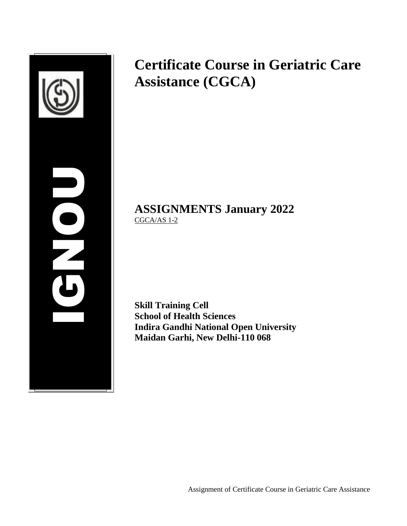

# **Certificate Course in Geriatric Care Assistance (CGCA)**

## **ASSIGNMENTS January 2022** CGCA/AS 1-2

**Skill Training Cell School of Health Sciences Indira Gandhi National Open University Maidan Garhi, New Delhi-110 068**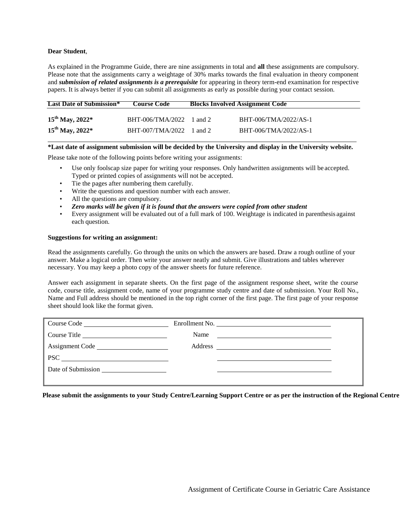#### **Dear Student**,

As explained in the Programme Guide, there are nine assignments in total and **all** these assignments are compulsory. Please note that the assignments carry a weightage of 30% marks towards the final evaluation in theory component and *submission of related assignments is a prerequisite* for appearing in theory term-end examination for respective papers. It is always better if you can submit all assignments as early as possible during your contact session.

| <b>Last Date of Submission*</b> | <b>Course Code</b>                        | <b>Blocks Involved Assignment Code</b> |
|---------------------------------|-------------------------------------------|----------------------------------------|
| $15^{th}$ May, 2022*            | $BHT-006/TMA/2022$ 1 and 2                | BHT-006/TMA/2022/AS-1                  |
| $15^{th}$ May, 2022*            | $BHT-007/TMA/2022 \quad 1 \text{ and } 2$ | BHT-006/TMA/2022/AS-1                  |

#### **\*Last date of assignment submission will be decided by the University and display in the University website.**

Please take note of the following points before writing your assignments:

- Use only foolscap size paper for writing your responses. Only handwritten assignments will be accepted. Typed or printed copies of assignments will not be accepted.
- Tie the pages after numbering them carefully.
- Write the questions and question number with each answer.
- All the questions are compulsory.
- *Zero marks will be given if it is found that the answers were copied from other student*
- Every assignment will be evaluated out of a full mark of 100. Weightage is indicated in parenthesis against each question.

#### **Suggestions for writing an assignment:**

Read the assignments carefully. Go through the units on which the answers are based. Draw a rough outline of your answer. Make a logical order. Then write your answer neatly and submit. Give illustrations and tables wherever necessary. You may keep a photo copy of the answer sheets for future reference.

Answer each assignment in separate sheets. On the first page of the assignment response sheet, write the course code, course title, assignment code, name of your programme study centre and date of submission. Your Roll No., Name and Full address should be mentioned in the top right corner of the first page. The first page of your response sheet should look like the format given.

| Course Code        | Enrollment No.                                                                                                                                                                                                                               |  |
|--------------------|----------------------------------------------------------------------------------------------------------------------------------------------------------------------------------------------------------------------------------------------|--|
| Course Title       | Name<br><u> El antiga de la contenentación de la contenentación de la contenentación de la contenentación de la contenentación de la contenentación de la contenentación de la contenentación de la contenentación de la contenentación </u> |  |
| Assignment Code    |                                                                                                                                                                                                                                              |  |
|                    |                                                                                                                                                                                                                                              |  |
| Date of Submission |                                                                                                                                                                                                                                              |  |
|                    |                                                                                                                                                                                                                                              |  |

**Please submit the assignments to your Study Centre/Learning Support Centre or as per the instruction of the Regional Centre**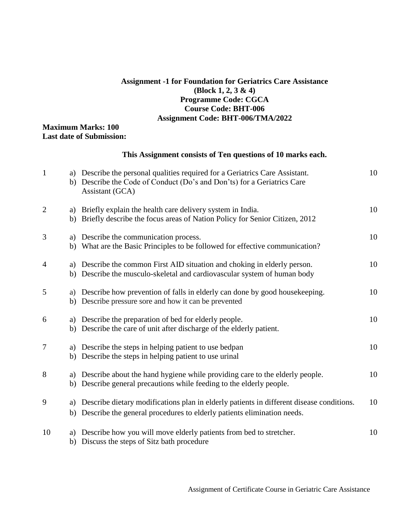## **Assignment -1 for Foundation for Geriatrics Care Assistance (Block 1, 2, 3 & 4) Programme Code: CGCA Course Code: BHT-006 Assignment Code: BHT-006/TMA/2022**

#### **Maximum Marks: 100 Last date of Submission:**

#### **This Assignment consists of Ten questions of 10 marks each.**

| $\mathbf{1}$   | a) Describe the personal qualities required for a Geriatrics Care Assistant.<br>b) Describe the Code of Conduct (Do's and Don'ts) for a Geriatrics Care<br>Assistant (GCA) | 10 |
|----------------|----------------------------------------------------------------------------------------------------------------------------------------------------------------------------|----|
| $\overline{2}$ | a) Briefly explain the health care delivery system in India.<br>b) Briefly describe the focus areas of Nation Policy for Senior Citizen, 2012                              | 10 |
| 3              | a) Describe the communication process.<br>b) What are the Basic Principles to be followed for effective communication?                                                     | 10 |
| $\overline{4}$ | a) Describe the common First AID situation and choking in elderly person.<br>b) Describe the musculo-skeletal and cardiovascular system of human body                      | 10 |
| 5              | a) Describe how prevention of falls in elderly can done by good housekeeping.<br>b) Describe pressure sore and how it can be prevented                                     | 10 |
| 6              | a) Describe the preparation of bed for elderly people.<br>b) Describe the care of unit after discharge of the elderly patient.                                             | 10 |
| $\overline{7}$ | a) Describe the steps in helping patient to use bedpan<br>b) Describe the steps in helping patient to use urinal                                                           | 10 |
| 8              | a) Describe about the hand hygiene while providing care to the elderly people.<br>b) Describe general precautions while feeding to the elderly people.                     | 10 |
| 9              | a) Describe dietary modifications plan in elderly patients in different disease conditions.<br>b) Describe the general procedures to elderly patients elimination needs.   | 10 |
| 10             | a) Describe how you will move elderly patients from bed to stretcher.<br>b) Discuss the steps of Sitz bath procedure                                                       | 10 |